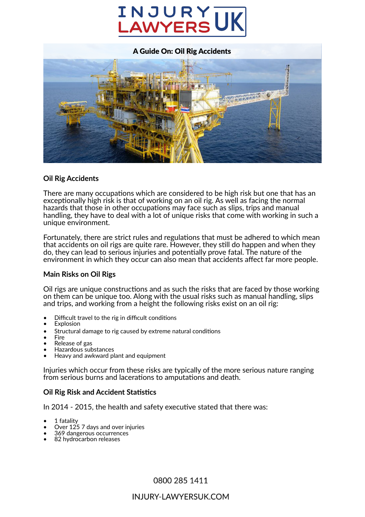# **INJURY<br>LAWYERS**



# **Oil Rig Accidents**

There are many occupations which are considered to be high risk but one that has an exceptionally high risk is that of working on an oil rig. As well as facing the normal hazards that those in other occupations may face such as slips, trips and manual handling, they have to deal with a lot of unique risks that come with working in such a unique environment.

Fortunately, there are strict rules and regulations that must be adhered to which mean that accidents on oil rigs are quite rare. However, they still do happen and when they do, they can lead to serious injuries and poten�ally prove fatal. The nature of the environment in which they occur can also mean that accidents affect far more people.

# **Main Risks on Oil Rigs**

Oil rigs are unique constructions and as such the risks that are faced by those working on them can be unique too. Along with the usual risks such as manual handling, slips and trips, and working from a height the following risks exist on an oil rig:

- Difficult travel to the rig in difficult conditions
- Explosion
- Structural damage to rig caused by extreme natural conditions
- Fire
- Release of gas
- Hazardous substances
- Heavy and awkward plant and equipment

Injuries which occur from these risks are typically of the more serious nature ranging from serious burns and lacerations to amputations and death.

# **Oil Rig Risk and Accident Statistics**

In 2014 - 2015, the health and safety executive stated that there was:

- 1 fatality
- Over 125 7 days and over injuries
- 369 dangerous occurrences
- 82 hydrocarbon releases

0800 285 1411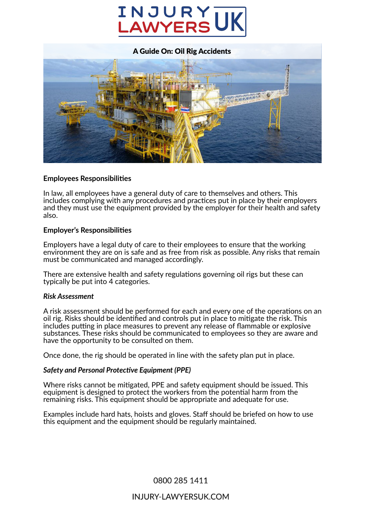



# **Employees Responsibili�es**

In law, all employees have a general duty of care to themselves and others. This includes complying with any procedures and practices put in place by their employers and they must use the equipment provided by the employer for their health and safety also.

# **Employer's Responsibili�es**

Employers have a legal duty of care to their employees to ensure that the working environment they are on is safe and as free from risk as possible. Any risks that remain must be communicated and managed accordingly.

There are extensive health and safety regulations governing oil rigs but these can typically be put into 4 categories.

# *Risk Assessment*

A risk assessment should be performed for each and every one of the operations on an oil rig. Risks should be identified and controls put in place to mitigate the risk. This includes putting in place measures to prevent any release of flammable or explosive substances. These risks should be communicated to employees so they are aware and have the opportunity to be consulted on them.

Once done, the rig should be operated in line with the safety plan put in place.

# *Safety and Personal Protective Equipment (PPE)*

Where risks cannot be mitigated, PPE and safety equipment should be issued. This equipment is designed to protect the workers from the potential harm from the remaining risks. This equipment should be appropriate and adequate for use.

Examples include hard hats, hoists and gloves. Staff should be briefed on how to use this equipment and the equipment should be regularly maintained.

0800 285 1411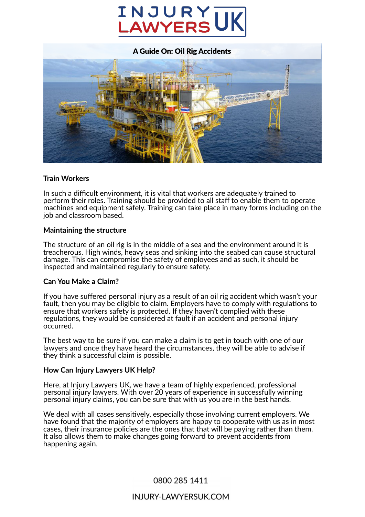



# **Train Workers**

In such a difficult environment, it is vital that workers are adequately trained to perform their roles. Training should be provided to all staff to enable them to operate machines and equipment safely. Training can take place in many forms including on the job and classroom based.

# **Maintaining the structure**

The structure of an oil rig is in the middle of a sea and the environment around it is treacherous. High winds, heavy seas and sinking into the seabed can cause structural damage. This can compromise the safety of employees and as such, it should be inspected and maintained regularly to ensure safety.

# **Can You Make a Claim?**

If you have suffered personal injury as a result of an oil rig accident which wasn't your fault, then you may be eligible to claim. Employers have to comply with regulations to ensure that workers safety is protected. If they haven't complied with these regulations, they would be considered at fault if an accident and personal injury occurred.

The best way to be sure if you can make a claim is to get in touch with one of our lawyers and once they have heard the circumstances, they will be able to advise if they think a successful claim is possible.

# **How Can Injury Lawyers UK Help?**

Here, at Injury Lawyers UK, we have a team of highly experienced, professional personal injury lawyers. With over 20 years of experience in successfully winning personal injury claims, you can be sure that with us you are in the best hands.

We deal with all cases sensitively, especially those involving current employers. We have found that the majority of employers are happy to cooperate with us as in most cases, their insurance policies are the ones that that will be paying rather than them. It also allows them to make changes going forward to prevent accidents from happening again.

# 0800 285 1411